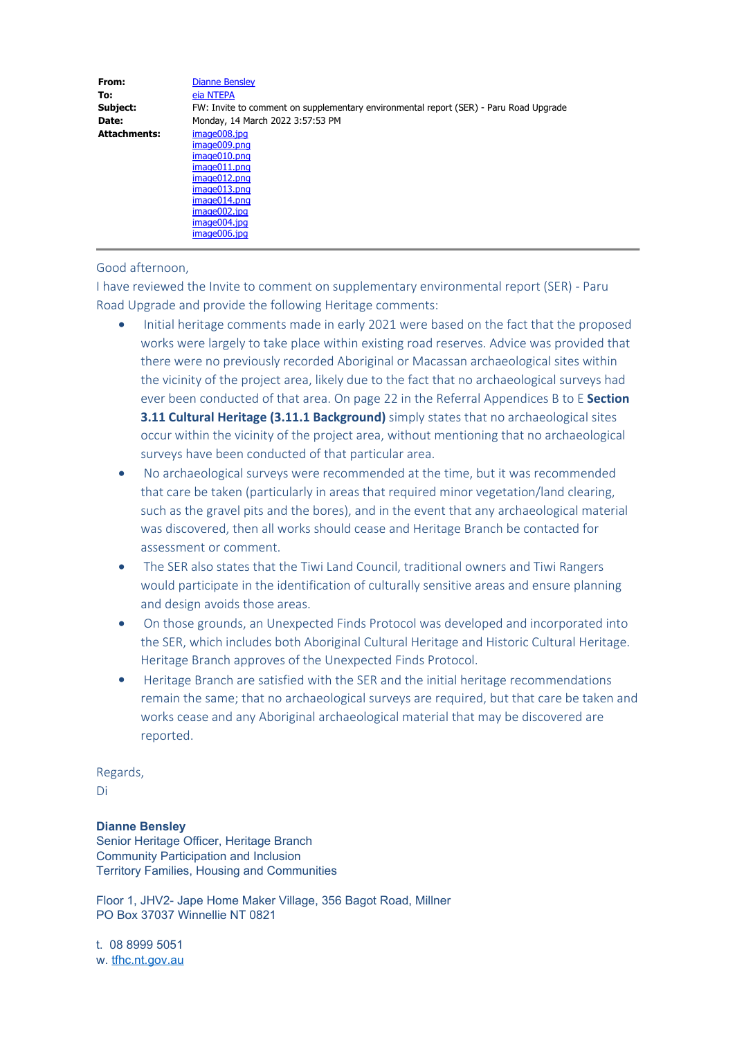| From:               | <b>Dianne Bensley</b>                                                                 |
|---------------------|---------------------------------------------------------------------------------------|
| To:                 | eia NTEPA                                                                             |
| Subject:            | FW: Invite to comment on supplementary environmental report (SER) - Paru Road Upgrade |
| Date:               | Monday, 14 March 2022 3:57:53 PM                                                      |
| <b>Attachments:</b> | image008.jpg                                                                          |
|                     | image009.png                                                                          |
|                     | image010.png                                                                          |
|                     | image011.png                                                                          |
|                     | image012.png                                                                          |
|                     | image013.png                                                                          |
|                     | image014.png                                                                          |
|                     | image002.jpg                                                                          |
|                     | image004.jpg                                                                          |
|                     | image006.jpg                                                                          |

## Good afternoon,

I have reviewed the Invite to comment on supplementary environmental report (SER) - Paru Road Upgrade and provide the following Heritage comments:

- Initial heritage comments made in early 2021 were based on the fact that the proposed works were largely to take place within existing road reserves. Advice was provided that there were no previously recorded Aboriginal or Macassan archaeological sites within the vicinity of the project area, likely due to the fact that no archaeological surveys had ever been conducted of that area. On page 22 in the Referral Appendices B to E **Section 3.11 Cultural Heritage (3.11.1 Background)** simply states that no archaeological sites occur within the vicinity of the project area, without mentioning that no archaeological surveys have been conducted of that particular area.
- · No archaeological surveys were recommended at the time, but it was recommended that care be taken (particularly in areas that required minor vegetation/land clearing, such as the gravel pits and the bores), and in the event that any archaeological material was discovered, then all works should cease and Heritage Branch be contacted for assessment or comment.
- The SER also states that the Tiwi Land Council, traditional owners and Tiwi Rangers would participate in the identification of culturally sensitive areas and ensure planning and design avoids those areas.
- · On those grounds, an Unexpected Finds Protocol was developed and incorporated into the SER, which includes both Aboriginal Cultural Heritage and Historic Cultural Heritage. Heritage Branch approves of the Unexpected Finds Protocol.
- · Heritage Branch are satisfied with the SER and the initial heritage recommendations remain the same; that no archaeological surveys are required, but that care be taken and works cease and any Aboriginal archaeological material that may be discovered are reported.

Regards,

Di

## **Dianne Bensley**

Senior Heritage Officer, Heritage Branch Community Participation and Inclusion Territory Families, Housing and Communities

Floor 1, JHV2- Jape Home Maker Village, 356 Bagot Road, Millner PO Box 37037 Winnellie NT 0821

t. 08 8999 5051 w. tfhc.nt.gov.au